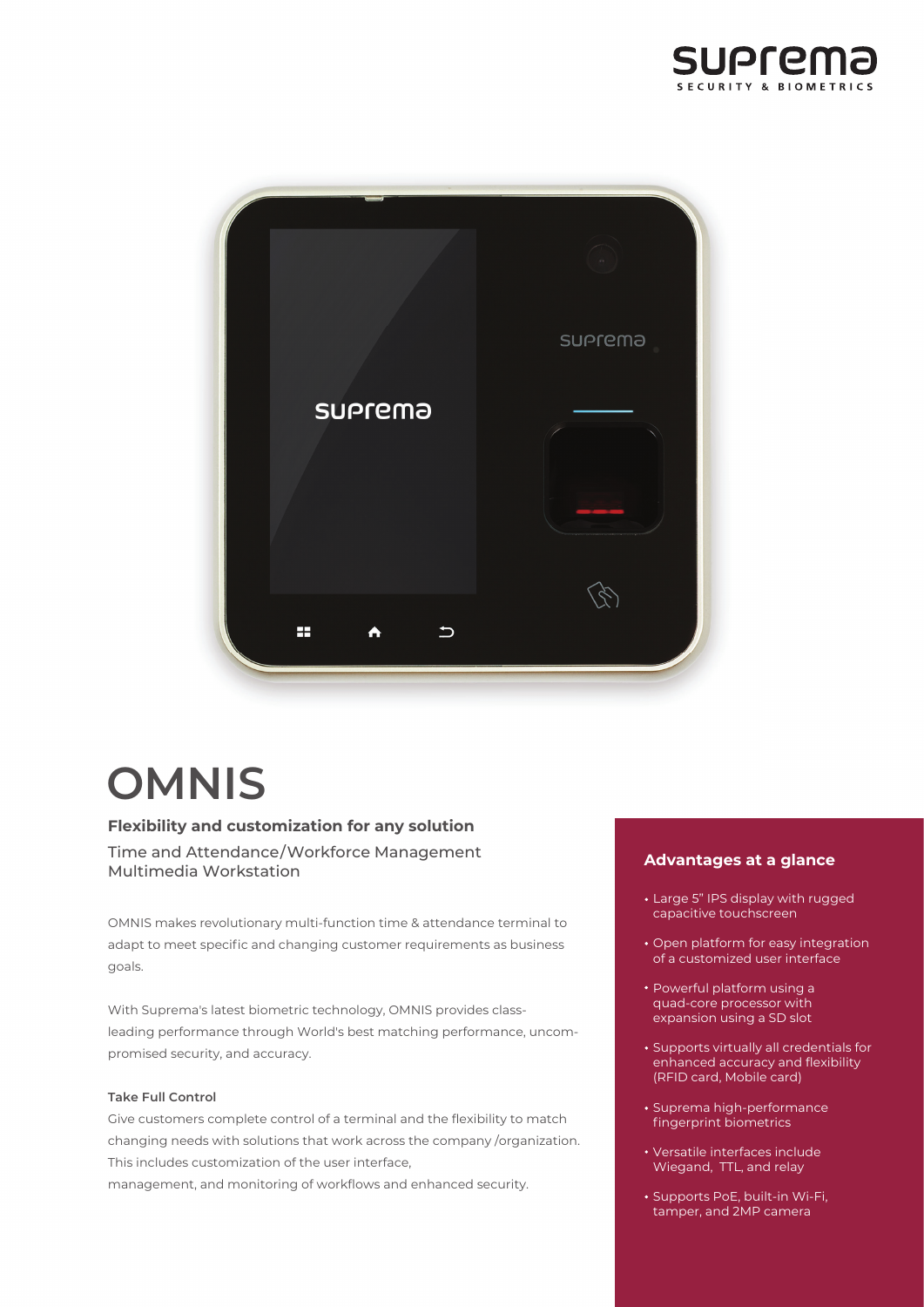



# **OMNIS**

## **Flexibility and customization for any solution**

Time and Attendance/Workforce Management Multimedia Workstation

OMNIS makes revolutionary multi-function time & attendance terminal to adapt to meet specific and changing customer requirements as business goals.

With Suprema's latest biometric technology, OMNIS provides classleading performance through World's best matching performance, uncompromised security, and accuracy.

#### **Take Full Control**

Give customers complete control of a terminal and the flexibility to match changing needs with solutions that work across the company /organization. This includes customization of the user interface,

management, and monitoring of workflows and enhanced security.

## **Advantages at a glance**

- Large 5" IPS display with rugged capacitive touchscreen
- Open platform for easy integration of a customized user interface
- Powerful platform using a quad-core processor with expansion using a SD slot
- Supports virtually all credentials for enhanced accuracy and flexibility (RFID card, Mobile card)
- Suprema high-performance fingerprint biometrics
- Versatile interfaces include Wiegand, TTL, and relay
- Supports PoE, built-in Wi-Fi, tamper, and 2MP camera